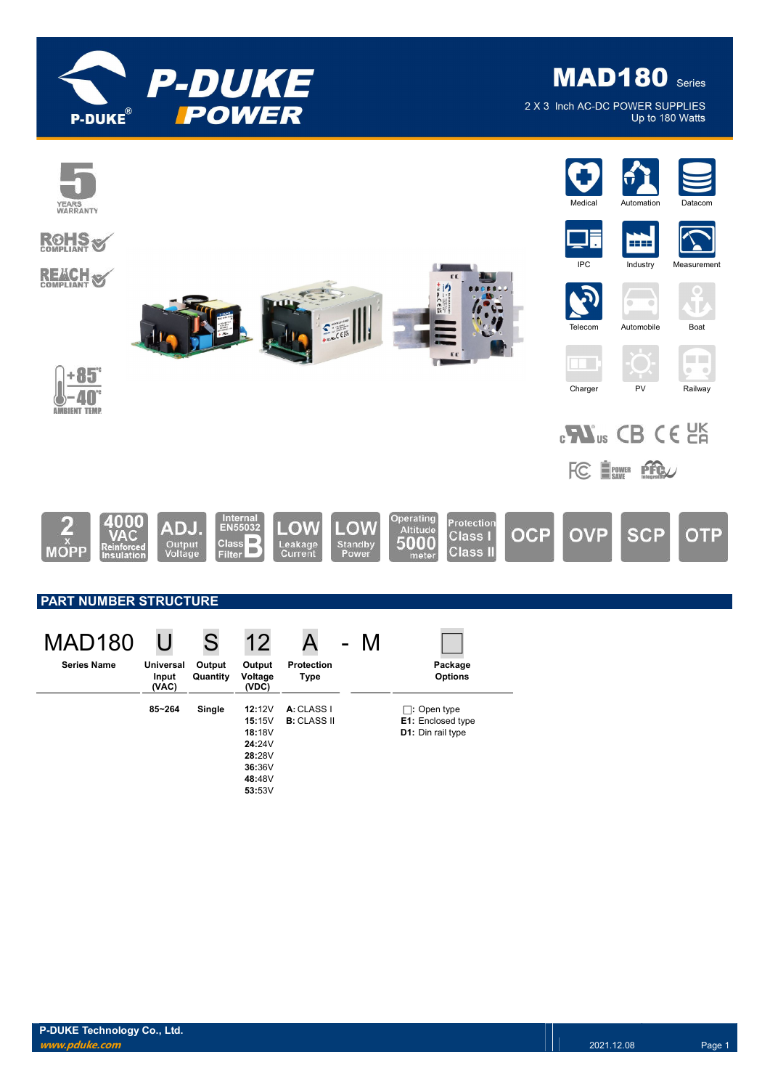

**MAD180** Series

2 X 3 Inch AC-DC POWER SUPPLIES Up to 180 Watts

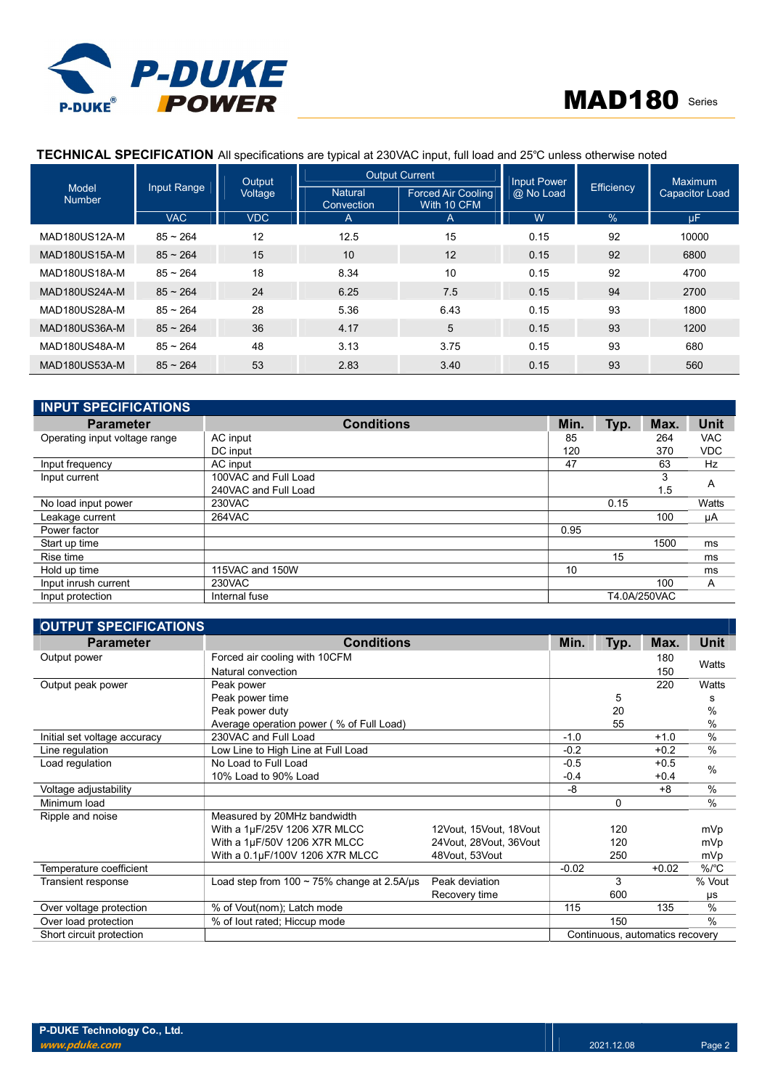

# TECHNICAL SPECIFICATION All specifications are typical at 230VAC input, full load and 25℃ unless otherwise noted

|                               |                    | Output     | <b>Output Current</b>        |                                          | Input Power |                   | <b>Maximum</b>        |  |
|-------------------------------|--------------------|------------|------------------------------|------------------------------------------|-------------|-------------------|-----------------------|--|
| <b>Model</b><br><b>Number</b> | <b>Input Range</b> | Voltage    | <b>Natural</b><br>Convection | <b>Forced Air Cooling</b><br>With 10 CFM | @ No Load   | <b>Efficiency</b> | <b>Capacitor Load</b> |  |
|                               | <b>VAC</b>         | <b>VDC</b> | A                            | $\mathsf{A}$                             | W           | $\%$              | uF                    |  |
| MAD180US12A-M                 | $85 - 264$         | 12         | 12.5                         | 15                                       | 0.15        | 92                | 10000                 |  |
| <b>MAD180US15A-M</b>          | $85 - 264$         | 15         | 10                           | 12                                       | 0.15        | 92                | 6800                  |  |
| MAD180US18A-M                 | $85 - 264$         | 18         | 8.34                         | 10                                       | 0.15        | 92                | 4700                  |  |
| MAD180US24A-M                 | $85 \sim 264$      | 24         | 6.25                         | 7.5                                      | 0.15        | 94                | 2700                  |  |
| MAD180US28A-M                 | $85 - 264$         | 28         | 5.36                         | 6.43                                     | 0.15        | 93                | 1800                  |  |
| MAD180US36A-M                 | $85 - 264$         | 36         | 4.17                         | 5                                        | 0.15        | 93                | 1200                  |  |
| MAD180US48A-M                 | $85 - 264$         | 48         | 3.13                         | 3.75                                     | 0.15        | 93                | 680                   |  |
| MAD180US53A-M                 | $85 - 264$         | 53         | 2.83                         | 3.40                                     | 0.15        | 93                | 560                   |  |

| <b>INPUT SPECIFICATIONS</b>   |                      |      |      |              |             |
|-------------------------------|----------------------|------|------|--------------|-------------|
| <b>Parameter</b>              | <b>Conditions</b>    | Min. | Typ. | Max.         | <b>Unit</b> |
| Operating input voltage range | AC input             | 85   |      | 264          | <b>VAC</b>  |
|                               | DC input             | 120  |      | 370          | <b>VDC</b>  |
| Input frequency               | AC input             | 47   |      | 63           | Hz          |
| Input current                 | 100VAC and Full Load |      |      | 3            | A           |
|                               | 240VAC and Full Load |      |      | 1.5          |             |
| No load input power           | 230VAC               |      | 0.15 |              | Watts       |
| Leakage current               | 264VAC               |      |      | 100          | μA          |
| Power factor                  |                      | 0.95 |      |              |             |
| Start up time                 |                      |      |      | 1500         | ms          |
| Rise time                     |                      |      | 15   |              | ms          |
| Hold up time                  | 115VAC and 150W      | 10   |      |              | ms          |
| Input inrush current          | 230VAC               |      |      | 100          | A           |
| Input protection              | Internal fuse        |      |      | T4.0A/250VAC |             |

| <b>OUTPUT SPECIFICATIONS</b> |                                                  |                           |         |          |                                 |               |
|------------------------------|--------------------------------------------------|---------------------------|---------|----------|---------------------------------|---------------|
| <b>Parameter</b>             | <b>Conditions</b>                                |                           | Min.    | Typ.     | Max.                            | Unit          |
| Output power                 | Forced air cooling with 10CFM                    |                           |         |          | 180                             |               |
|                              | Natural convection                               |                           |         |          | 150                             | Watts         |
| Output peak power            | Peak power                                       |                           |         |          | 220                             | Watts         |
|                              | Peak power time                                  |                           |         | 5        |                                 | s             |
|                              | Peak power duty                                  |                           |         | 20       |                                 | $\%$          |
|                              | Average operation power (% of Full Load)         |                           |         | 55       |                                 | $\frac{0}{0}$ |
| Initial set voltage accuracy | 230VAC and Full Load                             |                           | $-1.0$  |          | $+1.0$                          | $\frac{0}{0}$ |
| Line regulation              | Low Line to High Line at Full Load               |                           | $-0.2$  |          | $+0.2$                          | $\frac{0}{0}$ |
| Load regulation              | No Load to Full Load                             |                           | $-0.5$  |          | $+0.5$                          | $\%$          |
|                              | 10% Load to 90% Load                             |                           | $-0.4$  |          | $+0.4$                          |               |
| Voltage adjustability        |                                                  |                           | -8      |          | $+8$                            | $\frac{0}{0}$ |
| Minimum load                 |                                                  |                           |         | $\Omega$ |                                 | $\%$          |
| Ripple and noise             | Measured by 20MHz bandwidth                      |                           |         |          |                                 |               |
|                              | With a 1µF/25V 1206 X7R MLCC                     | 12Vout, 15Vout, 18Vout    |         | 120      |                                 | mVp           |
|                              | With a 1µF/50V 1206 X7R MLCC                     | 24 Vout, 28 Vout, 36 Vout |         | 120      |                                 | mVp           |
|                              | With a 0.1µF/100V 1206 X7R MLCC                  | 48Vout, 53Vout            |         | 250      |                                 | mVp           |
| Temperature coefficient      |                                                  |                           | $-0.02$ |          | $+0.02$                         | %/°C          |
| Transient response           | Load step from $100 \sim 75\%$ change at 2.5A/us | Peak deviation            |         | 3        |                                 | % Vout        |
|                              |                                                  | Recovery time             |         | 600      |                                 | μs            |
| Over voltage protection      | % of Vout(nom); Latch mode                       |                           | 115     |          | 135                             | %             |
| Over load protection         | % of lout rated; Hiccup mode                     |                           |         | 150      |                                 | $\%$          |
| Short circuit protection     |                                                  |                           |         |          | Continuous, automatics recovery |               |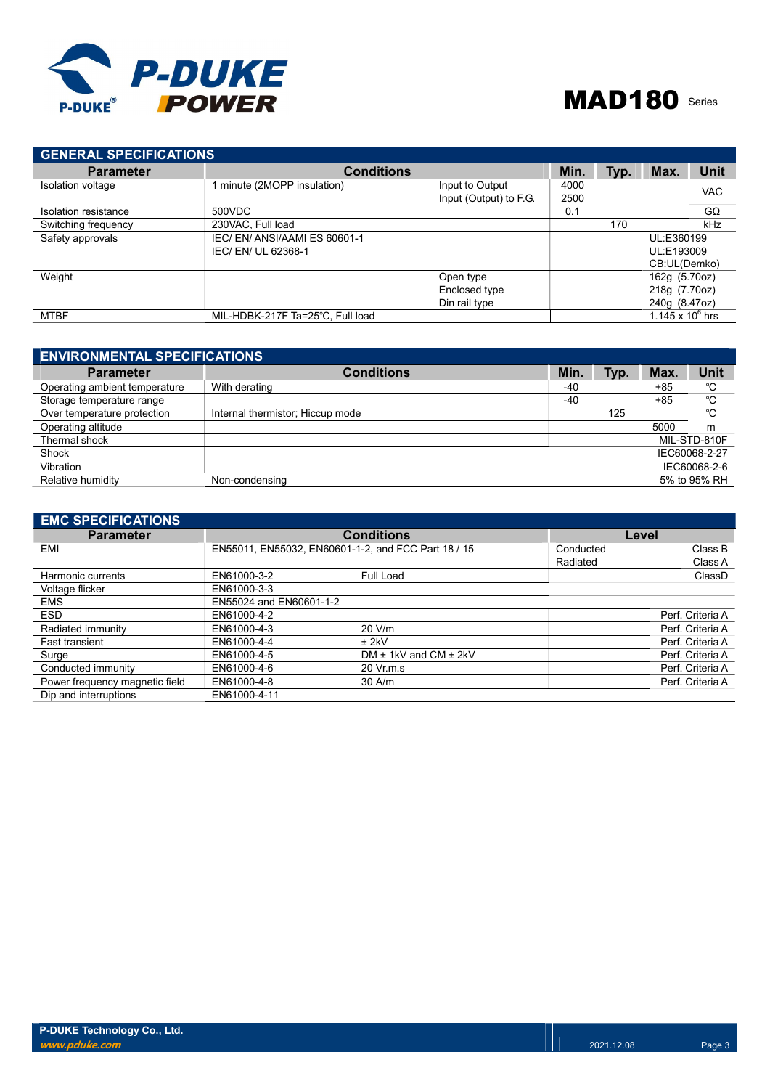

| <b>GENERAL SPECIFICATIONS</b> |                                  |                        |      |      |                       |             |
|-------------------------------|----------------------------------|------------------------|------|------|-----------------------|-------------|
| <b>Parameter</b>              | <b>Conditions</b>                |                        | Min. | Typ. | Max.                  | <b>Unit</b> |
| Isolation voltage             | 1 minute (2MOPP insulation)      | Input to Output        | 4000 |      |                       | <b>VAC</b>  |
|                               |                                  | Input (Output) to F.G. | 2500 |      |                       |             |
| Isolation resistance          | 500VDC                           |                        | 0.1  |      |                       | GΩ          |
| Switching frequency           | 230VAC. Full load                |                        |      | 170  |                       | kHz         |
| Safety approvals              | IEC/EN/ANSI/AAMI ES 60601-1      |                        |      |      | UL:E360199            |             |
|                               | IEC/EN/UL 62368-1                |                        |      |      | UL:E193009            |             |
|                               |                                  |                        |      |      | CB:UL(Demko)          |             |
| Weight                        |                                  | Open type              |      |      | 162g (5.70oz)         |             |
|                               |                                  | Enclosed type          |      |      | 218g (7.70oz)         |             |
|                               |                                  | Din rail type          |      |      | 240g (8.47oz)         |             |
| <b>MTBF</b>                   | MIL-HDBK-217F Ta=25°C, Full load |                        |      |      | 1.145 x 10 $^{6}$ hrs |             |

| Unit          |
|---------------|
| °C            |
| °C            |
| °C            |
| m             |
| MIL-STD-810F  |
| IEC60068-2-27 |
| IEC60068-2-6  |
| 5% to 95% RH  |
|               |

| <b>EMC SPECIFICATIONS</b>      |                         |                                                     |           |                  |
|--------------------------------|-------------------------|-----------------------------------------------------|-----------|------------------|
| <b>Parameter</b>               |                         | <b>Conditions</b>                                   | Level     |                  |
| EMI                            |                         | EN55011, EN55032, EN60601-1-2, and FCC Part 18 / 15 | Conducted | Class B          |
|                                |                         |                                                     | Radiated  | Class A          |
| Harmonic currents              | EN61000-3-2             | Full Load                                           |           | ClassD           |
| Voltage flicker                | EN61000-3-3             |                                                     |           |                  |
| <b>EMS</b>                     | EN55024 and EN60601-1-2 |                                                     |           |                  |
| <b>ESD</b>                     | EN61000-4-2             |                                                     |           | Perf. Criteria A |
| Radiated immunity              | EN61000-4-3             | 20 V/m                                              |           | Perf. Criteria A |
| <b>Fast transient</b>          | EN61000-4-4             | $±$ 2kV                                             |           | Perf. Criteria A |
| Surge                          | EN61000-4-5             | DM $\pm$ 1kV and CM $\pm$ 2kV                       |           | Perf. Criteria A |
| Conducted immunity             | EN61000-4-6             | 20 Vr.m.s                                           |           | Perf. Criteria A |
| Power frequency magnetic field | EN61000-4-8             | $30$ A/m                                            |           | Perf. Criteria A |
| Dip and interruptions          | EN61000-4-11            |                                                     |           |                  |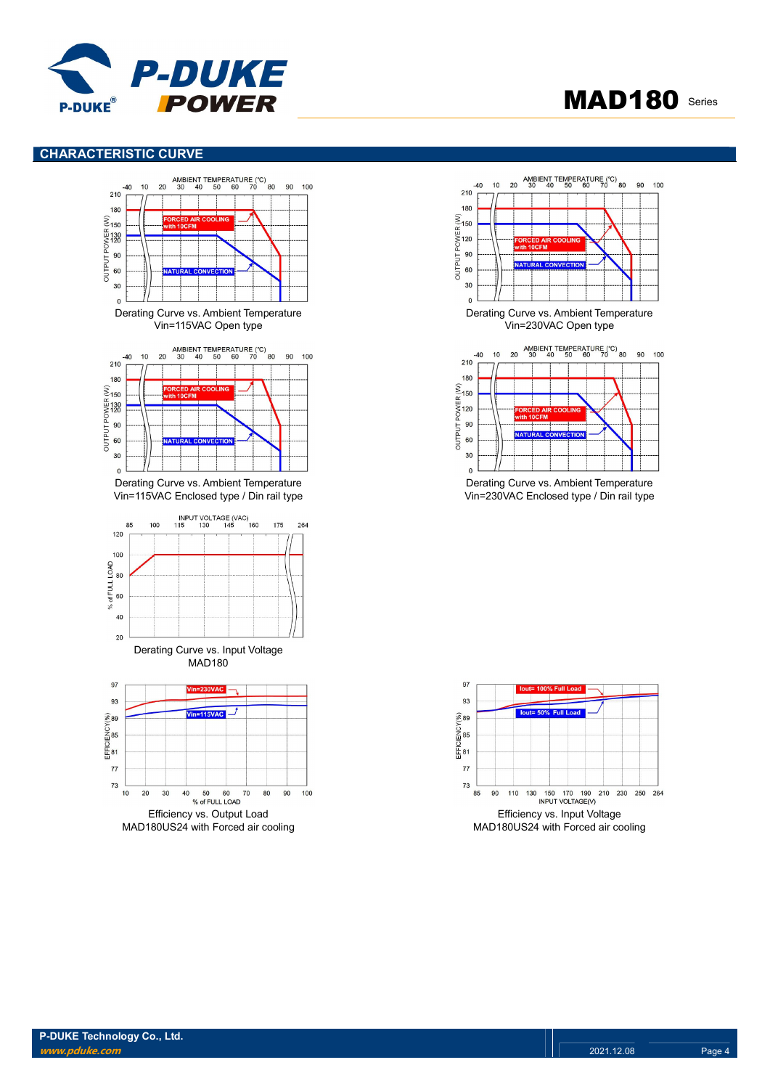

# MAD180 Series

## CHARACTERISTIC CURVE





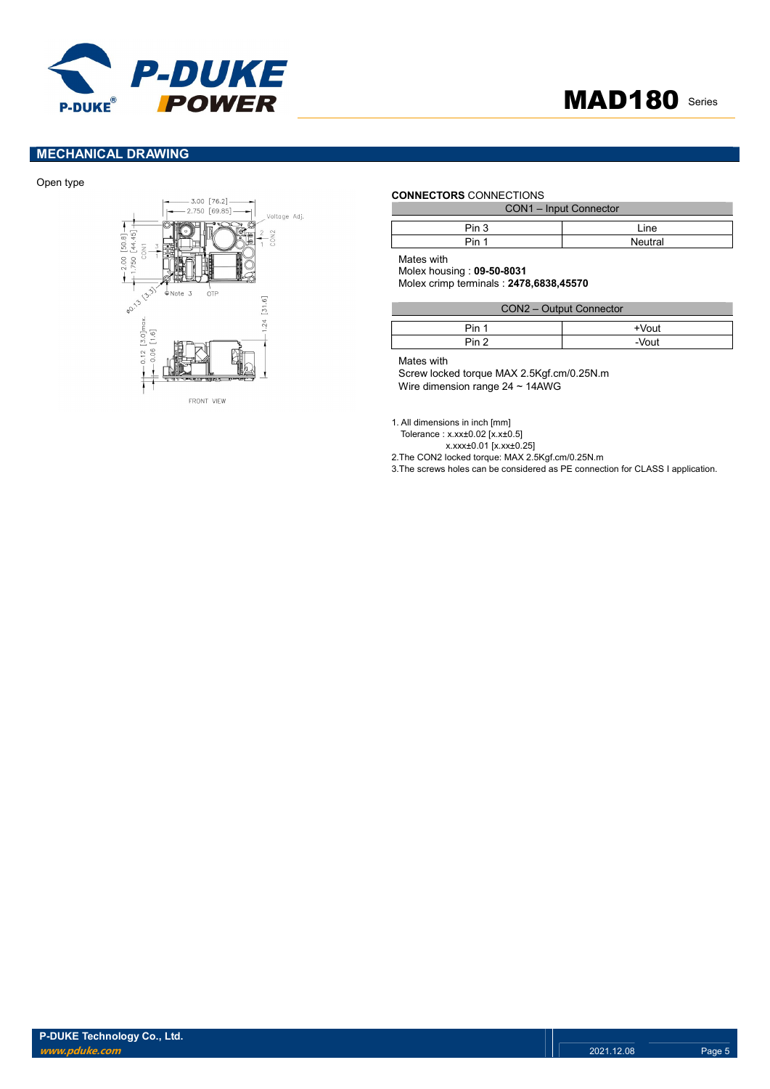

# MECHANICAL DRAWING

#### Open type



#### CONNECTORS CONNECTIONS

| CON1 - Input Connector |         |  |
|------------------------|---------|--|
|                        |         |  |
| Pin 3                  | l ine   |  |
| Pin 1                  | Neutral |  |

Mates with

Molex housing : 09-50-8031 Molex crimp terminals : 2478,6838,45570

| CON2 - Output Connector |          |  |
|-------------------------|----------|--|
| Pin 1                   | $+V$ out |  |
| Pin <sub>2</sub>        | $-V$ out |  |

Mates with

Screw locked torque MAX 2.5Kgf.cm/0.25N.m Wire dimension range 24 ~ 14AWG

1. All dimensions in inch [mm]

Tolerance : x.xx±0.02 [x.x±0.5]

x.xxx±0.01 [x.xx±0.25]

2.The CON2 locked torque: MAX 2.5Kgf.cm/0.25N.m

3.The screws holes can be considered as PE connection for CLASS I application.